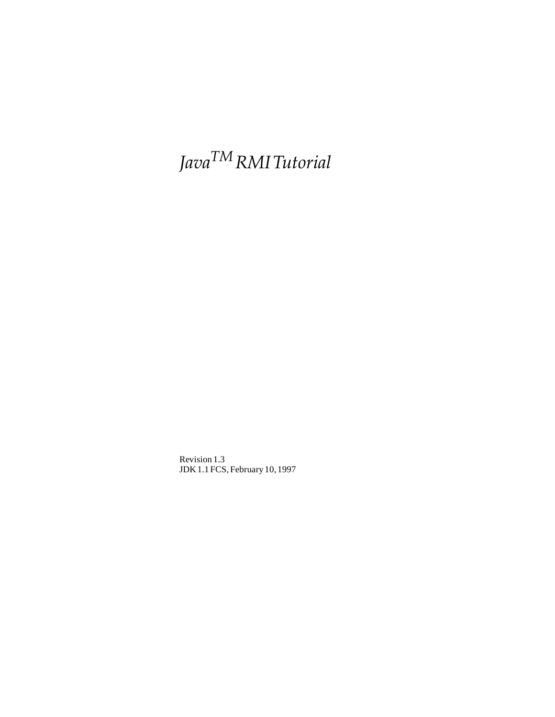# *JavaTM RMI Tutorial*

Revision 1.3 JDK 1.1 FCS, February 10, 1997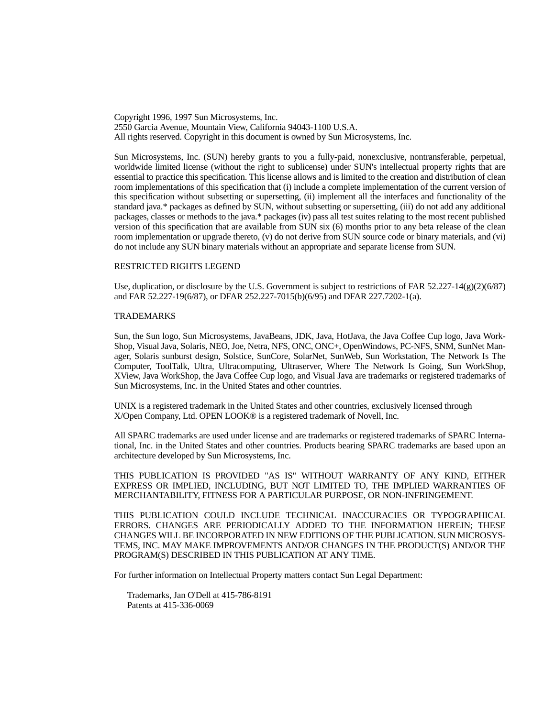Copyright 1996, 1997 Sun Microsystems, Inc. 2550 Garcia Avenue, Mountain View, California 94043-1100 U.S.A. All rights reserved. Copyright in this document is owned by Sun Microsystems, Inc.

Sun Microsystems, Inc. (SUN) hereby grants to you a fully-paid, nonexclusive, nontransferable, perpetual, worldwide limited license (without the right to sublicense) under SUN's intellectual property rights that are essential to practice this specification. This license allows and is limited to the creation and distribution of clean room implementations of this specification that (i) include a complete implementation of the current version of this specification without subsetting or supersetting, (ii) implement all the interfaces and functionality of the standard java.\* packages as defined by SUN, without subsetting or supersetting, (iii) do not add any additional packages, classes or methods to the java.\* packages (iv) pass all test suites relating to the most recent published version of this specification that are available from SUN six (6) months prior to any beta release of the clean room implementation or upgrade thereto, (v) do not derive from SUN source code or binary materials, and (vi) do not include any SUN binary materials without an appropriate and separate license from SUN.

#### RESTRICTED RIGHTS LEGEND

Use, duplication, or disclosure by the U.S. Government is subject to restrictions of FAR  $52.227-14(g)(2)(6/87)$ and FAR 52.227-19(6/87), or DFAR 252.227-7015(b)(6/95) and DFAR 227.7202-1(a).

#### TRADEMARKS

Sun, the Sun logo, Sun Microsystems, JavaBeans, JDK, Java, HotJava, the Java Coffee Cup logo, Java Work-Shop, Visual Java, Solaris, NEO, Joe, Netra, NFS, ONC, ONC+, OpenWindows, PC-NFS, SNM, SunNet Manager, Solaris sunburst design, Solstice, SunCore, SolarNet, SunWeb, Sun Workstation, The Network Is The Computer, ToolTalk, Ultra, Ultracomputing, Ultraserver, Where The Network Is Going, Sun WorkShop, XView, Java WorkShop, the Java Coffee Cup logo, and Visual Java are trademarks or registered trademarks of Sun Microsystems, Inc. in the United States and other countries.

UNIX is a registered trademark in the United States and other countries, exclusively licensed through X/Open Company, Ltd. OPEN LOOK® is a registered trademark of Novell, Inc.

All SPARC trademarks are used under license and are trademarks or registered trademarks of SPARC International, Inc. in the United States and other countries. Products bearing SPARC trademarks are based upon an architecture developed by Sun Microsystems, Inc.

THIS PUBLICATION IS PROVIDED "AS IS" WITHOUT WARRANTY OF ANY KIND, EITHER EXPRESS OR IMPLIED, INCLUDING, BUT NOT LIMITED TO, THE IMPLIED WARRANTIES OF MERCHANTABILITY, FITNESS FOR A PARTICULAR PURPOSE, OR NON-INFRINGEMENT.

THIS PUBLICATION COULD INCLUDE TECHNICAL INACCURACIES OR TYPOGRAPHICAL ERRORS. CHANGES ARE PERIODICALLY ADDED TO THE INFORMATION HEREIN; THESE CHANGES WILL BE INCORPORATED IN NEW EDITIONS OF THE PUBLICATION. SUN MICROSYS-TEMS, INC. MAY MAKE IMPROVEMENTS AND/OR CHANGES IN THE PRODUCT(S) AND/OR THE PROGRAM(S) DESCRIBED IN THIS PUBLICATION AT ANY TIME.

For further information on Intellectual Property matters contact Sun Legal Department:

 Trademarks, Jan O'Dell at 415-786-8191 Patents at 415-336-0069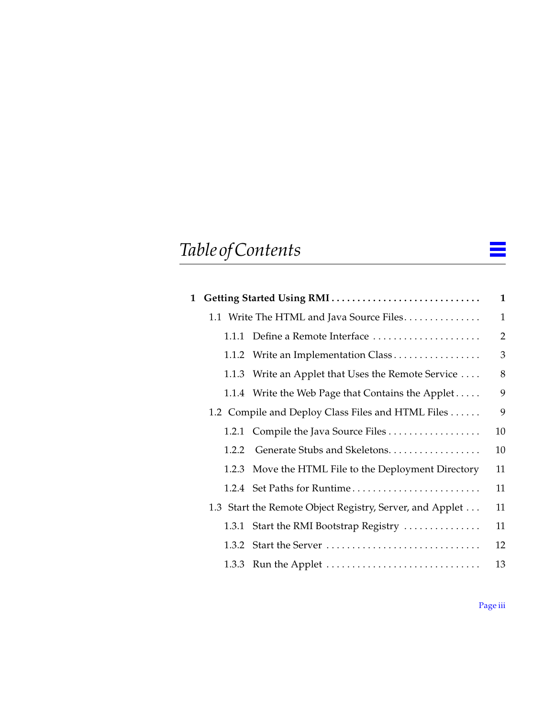# *Table of Contents*

| 1 Getting Started Using RMI |                                                          |                |  |
|-----------------------------|----------------------------------------------------------|----------------|--|
|                             | 1.1 Write The HTML and Java Source Files                 | $\mathbf{1}$   |  |
|                             | 1.1.1 Define a Remote Interface                          | $\overline{2}$ |  |
|                             | 1.1.2 Write an Implementation Class                      | 3              |  |
|                             | 1.1.3 Write an Applet that Uses the Remote Service       | 8              |  |
|                             | 1.1.4 Write the Web Page that Contains the Applet        | 9              |  |
|                             | 1.2 Compile and Deploy Class Files and HTML Files        | 9              |  |
|                             |                                                          | 10             |  |
| 1.2.2                       | Generate Stubs and Skeletons.                            | 10             |  |
|                             | 1.2.3 Move the HTML File to the Deployment Directory     | 11             |  |
|                             | 1.2.4 Set Paths for Runtime                              | 11             |  |
|                             | 1.3 Start the Remote Object Registry, Server, and Applet | 11             |  |
|                             | 1.3.1 Start the RMI Bootstrap Registry                   | 11             |  |
| 1.3.2                       | Start the Server                                         | 12             |  |
|                             |                                                          | 13             |  |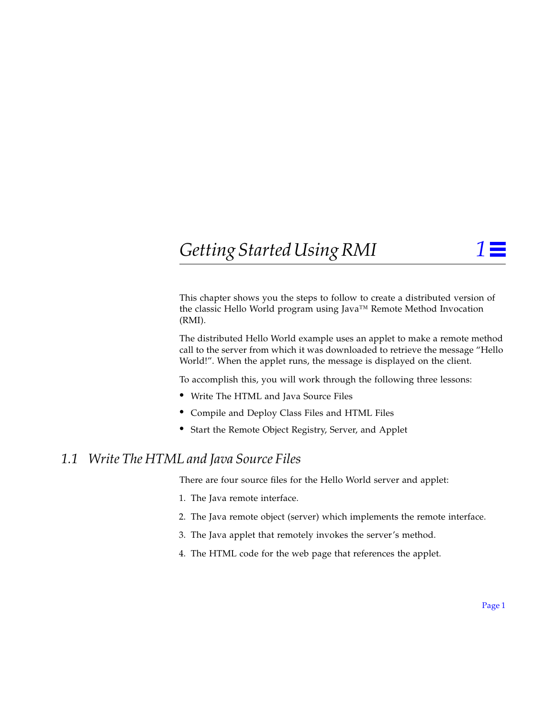## <span id="page-4-0"></span>*Getting Started Using RMI 1*

This chapter shows you the steps to follow to create a distributed version of the classic Hello World program using Java™ Remote Method Invocation (RMI).

The distributed Hello World example uses an applet to make a remote method call to the server from which it was downloaded to retrieve the message "Hello World!". When the applet runs, the message is displayed on the client.

To accomplish this, you will work through the following three lessons:

- **•** Write The HTML and Java Source Files
- **•** [Compile and Deploy Class Files and HTML Files](#page-12-0)
- **•** [Start the Remote Object Registry, Server, and Applet](#page-14-0)

## *1.1 Write The HTML and Java Source Files*

There are four source files for the Hello World server and applet:

- 1. The Java remote interface.
- 2. The Java remote object (server) which implements the remote interface.
- 3. The Java applet that remotely invokes the server's method.
- 4. The HTML code for the web page that references the applet.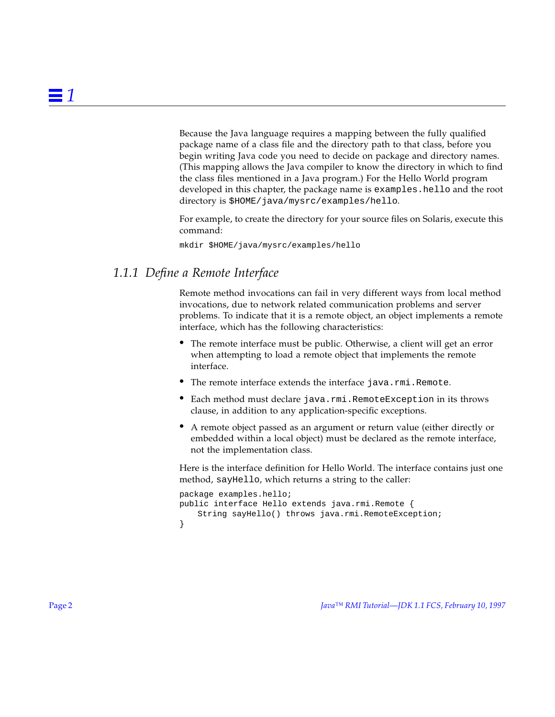<span id="page-5-0"></span>Because the Java language requires a mapping between the fully qualified package name of a class file and the directory path to that class, before you begin writing Java code you need to decide on package and directory names. (This mapping allows the Java compiler to know the directory in which to find the class files mentioned in a Java program.) For the Hello World program developed in this chapter, the package name is examples.hello and the root directory is \$HOME/java/mysrc/examples/hello.

For example, to create the directory for your source files on Solaris, execute this command:

mkdir \$HOME/java/mysrc/examples/hello

## *1.1.1 Define a Remote Interface*

Remote method invocations can fail in very different ways from local method invocations, due to network related communication problems and server problems. To indicate that it is a remote object, an object implements a remote interface, which has the following characteristics:

- The remote interface must be public. Otherwise, a client will get an error when attempting to load a remote object that implements the remote interface.
- The remote interface extends the interface java.rmi.Remote.
- Each method must declare java.rmi.RemoteException in its throws clause, in addition to any application-specific exceptions.
- **•** A remote object passed as an argument or return value (either directly or embedded within a local object) must be declared as the remote interface, not the implementation class.

Here is the interface definition for Hello World. The interface contains just one method, sayHello, which returns a string to the caller:

```
package examples.hello;
public interface Hello extends java.rmi.Remote {
   String sayHello() throws java.rmi.RemoteException;
}
```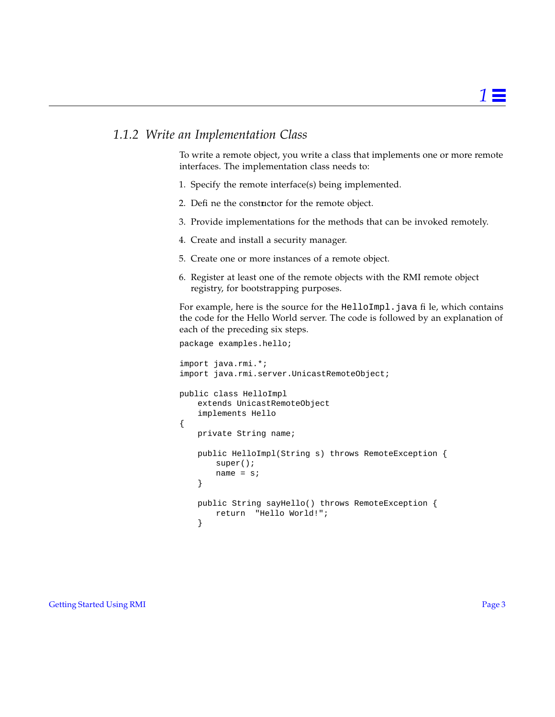## <span id="page-6-0"></span>*1.1.2 Write an Implementation Class*

To write a remote object, you write a class that implements one or more remote interfaces. The implementation class needs to:

- 1. Specify the remote interface(s) being implemented.
- 2. Define the constructor for the remote object.
- 3. Provide implementations for the methods that can be invoked remotely.
- 4. Create and install a security manager.
- 5. Create one or more instances of a remote object.
- 6. Register at least one of the remote objects with the RMI remote object registry, for bootstrapping purposes.

For example, here is the source for the HelloImpl. java file, which contains the code for the Hello World server. The code is followed by an explanation of each of the preceding six steps.

```
package examples.hello;
import java.rmi.*;
import java.rmi.server.UnicastRemoteObject;
public class HelloImpl
   extends UnicastRemoteObject
   implements Hello
{
   private String name;
   public HelloImpl(String s) throws RemoteException {
       super();
       name = si}
   public String sayHello() throws RemoteException {
       return "Hello World!";
    }
```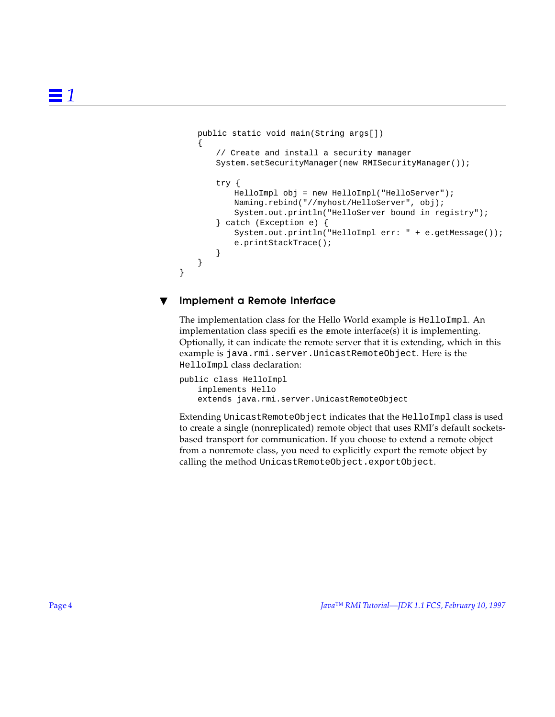```
public static void main(String args[])
{
   // Create and install a security manager
   System.setSecurityManager(new RMISecurityManager());
   try {
       HelloImpl obj = new HelloImpl("HelloServer");
       Naming.rebind("//myhost/HelloServer", obj);
       System.out.println("HelloServer bound in registry");
   } catch (Exception e) {
       System.out.println("HelloImpl err: " + e.getMessage());
       e.printStackTrace();
   }
}
```
#### Implement a Remote Interface

}

The implementation class for the Hello World example is HelloImpl. An implementation class specifies the **e**mote interface(s) it is implementing. Optionally, it can indicate the remote server that it is extending, which in this example is java.rmi.server.UnicastRemoteObject. Here is the HelloImpl class declaration:

```
public class HelloImpl
   implements Hello
   extends java.rmi.server.UnicastRemoteObject
```
Extending UnicastRemoteObject indicates that the HelloImpl class is used to create a single (nonreplicated) remote object that uses RMI's default socketsbased transport for communication. If you choose to extend a remote object from a nonremote class, you need to explicitly export the remote object by calling the method UnicastRemoteObject.exportObject.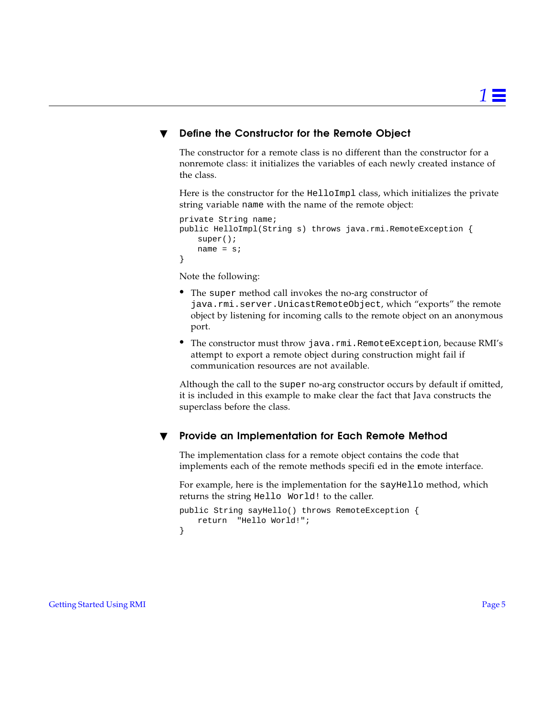#### Define the Constructor for the Remote Object

The constructor for a remote class is no different than the constructor for a nonremote class: it initializes the variables of each newly created instance of the class.

Here is the constructor for the HelloImpl class, which initializes the private string variable name with the name of the remote object:

```
private String name;
public HelloImpl(String s) throws java.rmi.RemoteException {
   super();
   name = si}
```
Note the following:

- **•** The super method call invokes the no-arg constructor of java.rmi.server.UnicastRemoteObject, which "exports" the remote object by listening for incoming calls to the remote object on an anonymous port.
- The constructor must throw java.rmi.RemoteException, because RMI's attempt to export a remote object during construction might fail if communication resources are not available.

Although the call to the super no-arg constructor occurs by default if omitted, it is included in this example to make clear the fact that Java constructs the superclass before the class.

#### Provide an Implementation for Each Remote Method

The implementation class for a remote object contains the code that implements each of the remote methods specified in the emote interface.

For example, here is the implementation for the sayHello method, which returns the string Hello World! to the caller.

```
public String sayHello() throws RemoteException {
   return "Hello World!";
}
```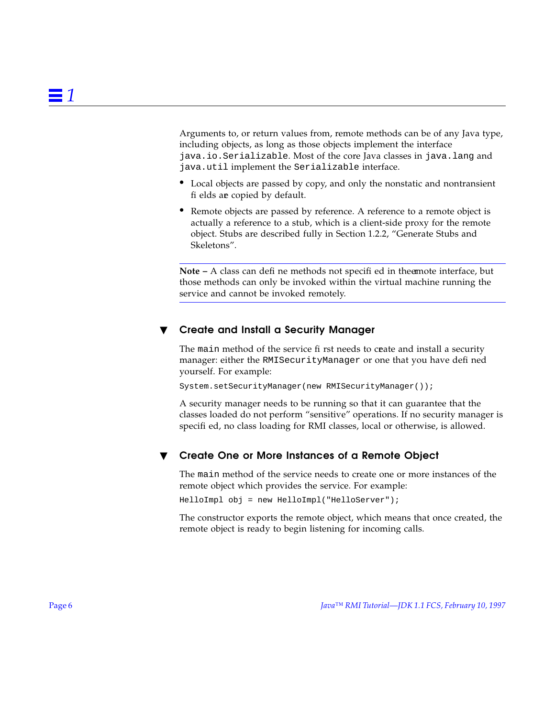Arguments to, or return values from, remote methods can be of any Java type, including objects, as long as those objects implement the interface java.io.Serializable. Most of the core Java classes in java.lang and java.util implement the Serializable interface.

- **•** Local objects are passed by copy, and only the nonstatic and nontransient fi elds are copied by default.
- **•** Remote objects are passed by reference. A reference to a remote object is actually a reference to a stub, which is a client-side proxy for the remote object. Stubs are described fully in Section [1.2.2, "Generate Stubs and](#page-13-0) [Skeletons".](#page-13-0)

**Note –** A class can define methods not specified in the emote interface, but those methods can only be invoked within the virtual machine running the service and cannot be invoked remotely.

#### Create and Install a Security Manager

The main method of the service first needs to ceate and install a security manager: either the RMISecurityManager or one that you have defined yourself. For example:

System.setSecurityManager(new RMISecurityManager());

A security manager needs to be running so that it can guarantee that the classes loaded do not perform "sensitive" operations. If no security manager is specified, no class loading for RMI classes, local or otherwise, is allowed.

#### Create One or More Instances of a Remote Object

The main method of the service needs to create one or more instances of the remote object which provides the service. For example:

HelloImpl obj = new HelloImpl("HelloServer");

The constructor exports the remote object, which means that once created, the remote object is ready to begin listening for incoming calls.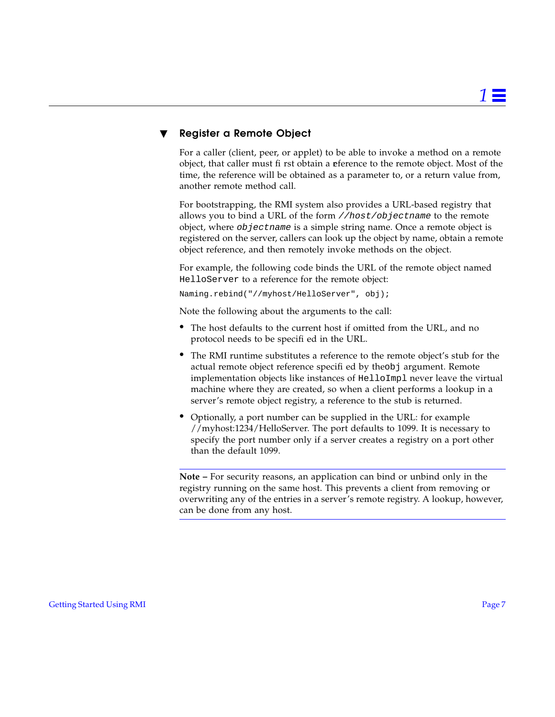#### **Register a Remote Object**

For a caller (client, peer, or applet) to be able to invoke a method on a remote object, that caller must first obtain a **e**ference to the remote object. Most of the time, the reference will be obtained as a parameter to, or a return value from, another remote method call.

For bootstrapping, the RMI system also provides a URL-based registry that allows you to bind a URL of the form //host/objectname to the remote object, where objectname is a simple string name. Once a remote object is registered on the server, callers can look up the object by name, obtain a remote object reference, and then remotely invoke methods on the object.

For example, the following code binds the URL of the remote object named HelloServer to a reference for the remote object:

Naming.rebind("//myhost/HelloServer", obj);

Note the following about the arguments to the call:

- **•** The host defaults to the current host if omitted from the URL, and no protocol needs to be specified in the URL.
- **•** The RMI runtime substitutes a reference to the remote object's stub for the actual remote object reference specified by theobj argument. Remote implementation objects like instances of HelloImpl never leave the virtual machine where they are created, so when a client performs a lookup in a server's remote object registry, a reference to the stub is returned.
- **•** Optionally, a port number can be supplied in the URL: for example //myhost:1234/HelloServer. The port defaults to 1099. It is necessary to specify the port number only if a server creates a registry on a port other than the default 1099.

**Note –** For security reasons, an application can bind or unbind only in the registry running on the same host. This prevents a client from removing or overwriting any of the entries in a server's remote registry. A lookup, however, can be done from any host.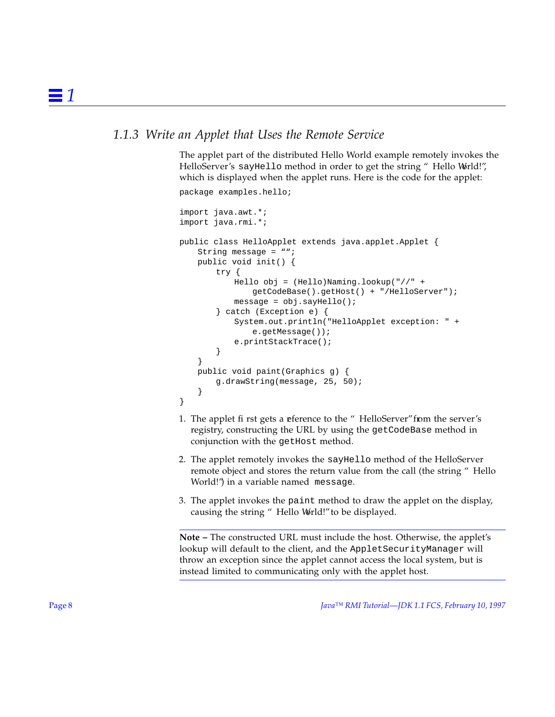## <span id="page-11-0"></span>*1.1.3 Write an Applet that Uses the Remote Service*

The applet part of the distributed Hello World example remotely invokes the HelloServer's sayHello method in order to get the string "Hello World!", which is displayed when the applet runs. Here is the code for the applet:

```
package examples.hello;
import java.awt.*;
import java.rmi.*;
public class HelloApplet extends java.applet.Applet {
   String message = "";
   public void init() {
       try {
           Hello obj = (Hello)Naming.lookup("//" +
               getCodeBase().getHost() + "/HelloServer");
           message = obj.sayHello();
       } catch (Exception e) {
           System.out.println("HelloApplet exception: " +
               e.getMessage());
           e.printStackTrace();
       }
   }
   public void paint(Graphics g) {
       g.drawString(message, 25, 50);
    }
}
```
- 1. The applet first gets a reference to the "HelloServer" from the server's registry, constructing the URL by using the getCodeBase method in conjunction with the getHost method.
- 2. The applet remotely invokes the sayHello method of the HelloServer remote object and stores the return value from the call (the string "Hello World!") in a variable named message.
- 3. The applet invokes the paint method to draw the applet on the display, causing the string " Hello World!" to be displayed.

**Note –** The constructed URL must include the host. Otherwise, the applet's lookup will default to the client, and the AppletSecurityManager will throw an exception since the applet cannot access the local system, but is instead limited to communicating only with the applet host.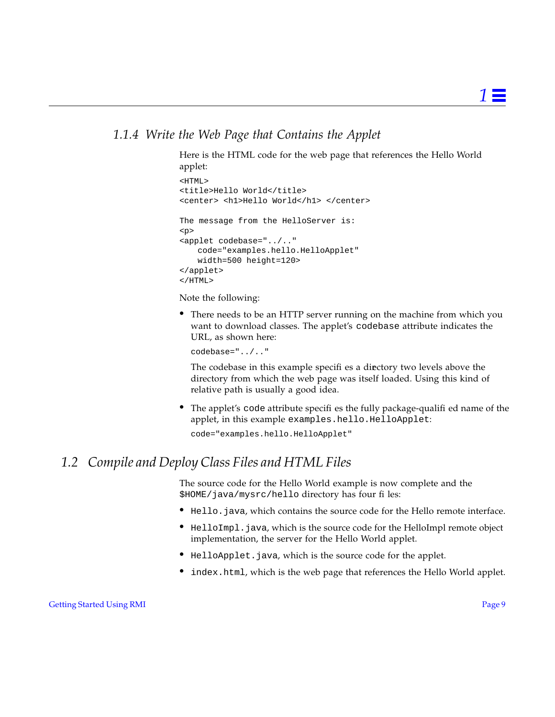## <span id="page-12-0"></span>*1.1.4 Write the Web Page that Contains the Applet*

Here is the HTML code for the web page that references the Hello World applet:

```
<HTML>
<title>Hello World</title>
<center> <h1>Hello World</h1> </center>
The message from the HelloServer is:
<p>
<applet codebase="../.."
   code="examples.hello.HelloApplet"
   width=500 height=120>
</applet>
</HTML>
```
Note the following:

**•** There needs to be an HTTP server running on the machine from which you want to download classes. The applet's codebase attribute indicates the URL, as shown here:

codebase="../.."

The codebase in this example specifies a directory two levels above the directory from which the web page was itself loaded. Using this kind of relative path is usually a good idea.

• The applet's code attribute specifies the fully package-qualified name of the applet, in this example examples.hello.HelloApplet:

```
code="examples.hello.HelloApplet"
```
## *1.2 Compile and Deploy Class Files and HTML Files*

The source code for the Hello World example is now complete and the \$HOME/java/mysrc/hello directory has four files:

- Hello.java, which contains the source code for the Hello remote interface.
- **•** HelloImpl.java, which is the source code for the HelloImpl remote object implementation, the server for the Hello World applet.
- **•** HelloApplet.java, which is the source code for the applet.
- index.html, which is the web page that references the Hello World applet.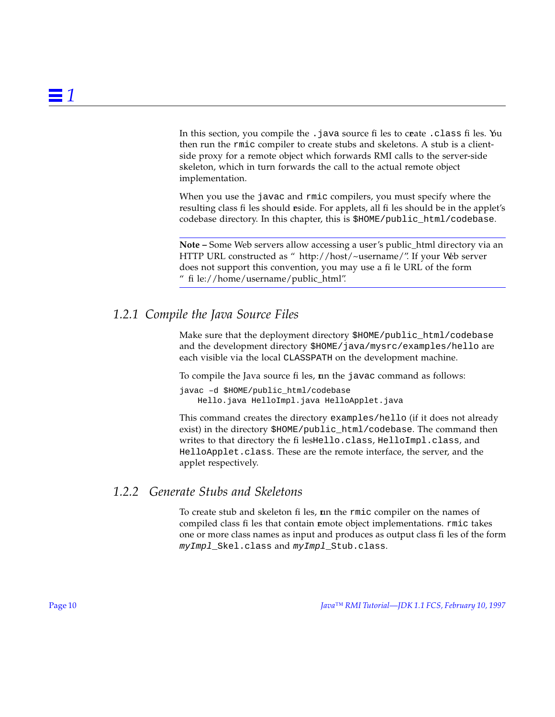<span id="page-13-0"></span>In this section, you compile the . java source files to ceate . class files. You then run the rmic compiler to create stubs and skeletons. A stub is a clientside proxy for a remote object which forwards RMI calls to the server-side skeleton, which in turn forwards the call to the actual remote object implementation.

When you use the javac and rmic compilers, you must specify where the resulting class files should reside. For applets, all files should be in the applet's codebase directory. In this chapter, this is \$HOME/public\_html/codebase.

**Note –** Some Web servers allow accessing a user's public\_html directory via an HTTP URL constructed as "http://host/~username/". If your Web server does not support this convention, you may use a file URL of the form "file://home/username/public\_html".

## *1.2.1 Compile the Java Source Files*

Make sure that the deployment directory \$HOME/public\_html/codebase and the development directory \$HOME/java/mysrc/examples/hello are each visible via the local CLASSPATH on the development machine.

To compile the Java source files, un the javac command as follows:

javac –d \$HOME/public\_html/codebase Hello.java HelloImpl.java HelloApplet.java

This command creates the directory examples/hello (if it does not already exist) in the directory \$HOME/public\_html/codebase. The command then writes to that directory the filesHello.class, HelloImpl.class, and HelloApplet.class. These are the remote interface, the server, and the applet respectively.

## *1.2.2 Generate Stubs and Skeletons*

To create stub and skeleton files, **r**un the rmic compiler on the names of compiled class files that contain **e**mote object implementations. rmic takes one or more class names as input and produces as output class files of the form myImpl\_Skel.class and myImpl\_Stub.class.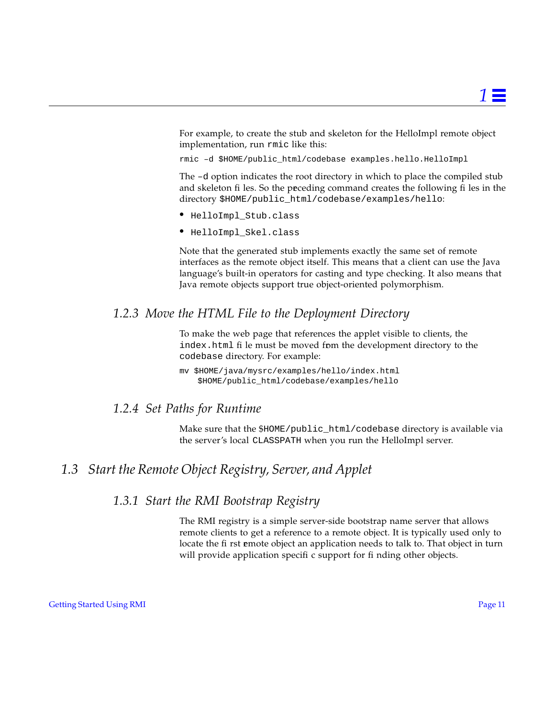<span id="page-14-0"></span>For example, to create the stub and skeleton for the HelloImpl remote object implementation, run rmic like this:

rmic –d \$HOME/public\_html/codebase examples.hello.HelloImpl

The –d option indicates the root directory in which to place the compiled stub and skeleton files. So the preceding command creates the following files in the directory \$HOME/public\_html/codebase/examples/hello:

- **•** HelloImpl\_Stub.class
- **•** HelloImpl\_Skel.class

Note that the generated stub implements exactly the same set of remote interfaces as the remote object itself. This means that a client can use the Java language's built-in operators for casting and type checking. It also means that Java remote objects support true object-oriented polymorphism.

## *1.2.3 Move the HTML File to the Deployment Directory*

To make the web page that references the applet visible to clients, the index.html file must be moved from the development directory to the codebase directory. For example:

mv \$HOME/java/mysrc/examples/hello/index.html \$HOME/public\_html/codebase/examples/hello

## *1.2.4 Set Paths for Runtime*

Make sure that the \$HOME/public\_html/codebase directory is available via the server's local CLASSPATH when you run the HelloImpl server.

## *1.3 Start the Remote Object Registry, Server, and Applet*

## *1.3.1 Start the RMI Bootstrap Registry*

The RMI registry is a simple server-side bootstrap name server that allows remote clients to get a reference to a remote object. It is typically used only to locate the first emote object an application needs to talk to. That object in turn will provide application specific support for finding other objects.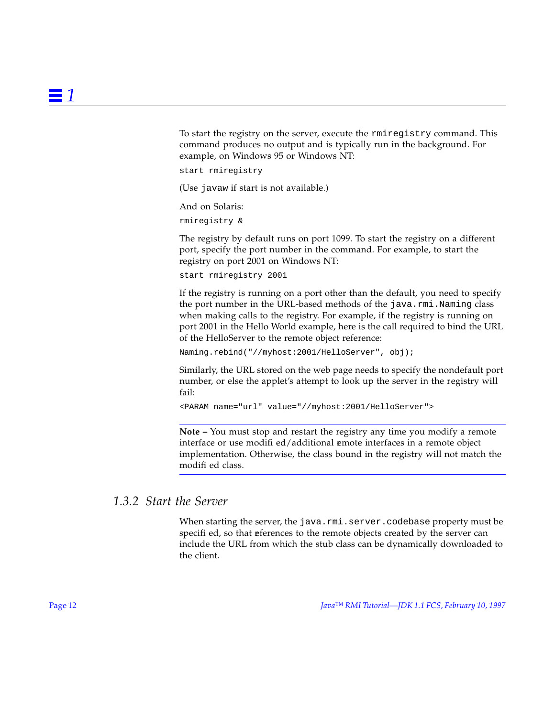<span id="page-15-0"></span>To start the registry on the server, execute the rmiregistry command. This command produces no output and is typically run in the background. For example, on Windows 95 or Windows NT:

start rmiregistry

(Use javaw if start is not available.)

And on Solaris:

rmiregistry &

The registry by default runs on port 1099. To start the registry on a different port, specify the port number in the command. For example, to start the registry on port 2001 on Windows NT:

```
start rmiregistry 2001
```
If the registry is running on a port other than the default, you need to specify the port number in the URL-based methods of the java.rmi.Naming class when making calls to the registry. For example, if the registry is running on port 2001 in the Hello World example, here is the call required to bind the URL of the HelloServer to the remote object reference:

Naming.rebind("//myhost:2001/HelloServer", obj);

Similarly, the URL stored on the web page needs to specify the nondefault port number, or else the applet's attempt to look up the server in the registry will fail:

```
<PARAM name="url" value="//myhost:2001/HelloServer">
```
**Note –** You must stop and restart the registry any time you modify a remote interface or use modified/additional **emote** interfaces in a remote object implementation. Otherwise, the class bound in the registry will not match the modifi ed class.

#### *1.3.2 Start the Server*

When starting the server, the java.rmi.server.codebase property must be specified, so that references to the remote objects created by the server can include the URL from which the stub class can be dynamically downloaded to the client.